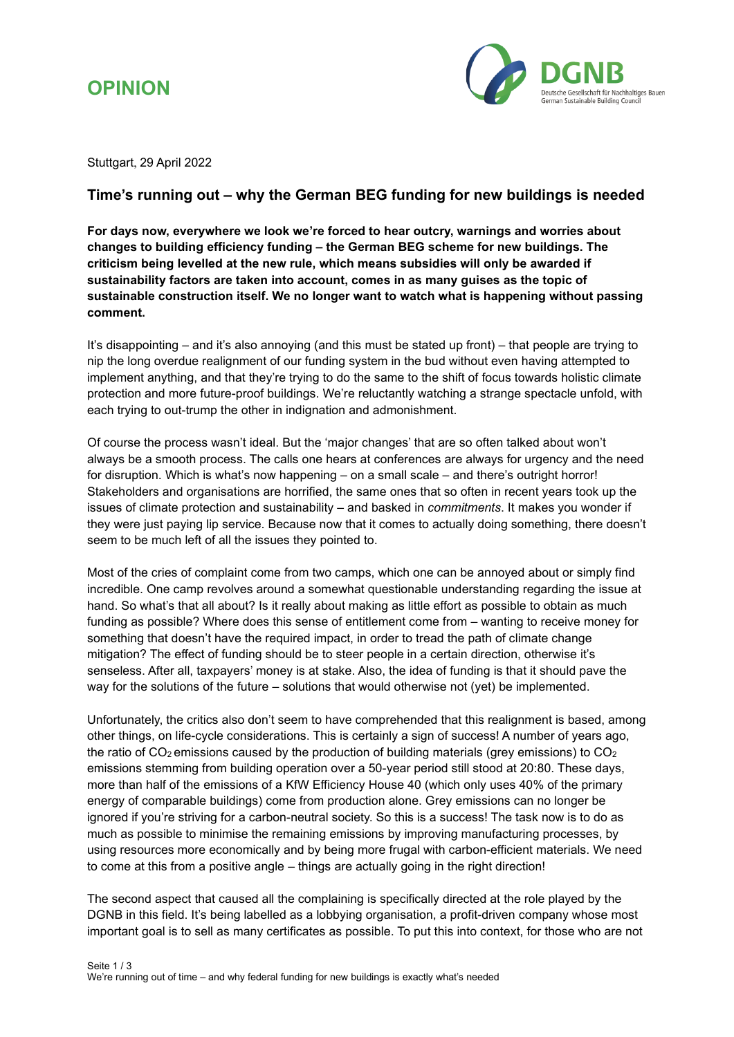



Stuttgart, 29 April 2022

## **Time's running out – why the German BEG funding for new buildings is needed**

**For days now, everywhere we look we're forced to hear outcry, warnings and worries about changes to building efficiency funding – the German BEG scheme for new buildings. The criticism being levelled at the new rule, which means subsidies will only be awarded if sustainability factors are taken into account, comes in as many guises as the topic of sustainable construction itself. We no longer want to watch what is happening without passing comment.** 

It's disappointing – and it's also annoying (and this must be stated up front) – that people are trying to nip the long overdue realignment of our funding system in the bud without even having attempted to implement anything, and that they're trying to do the same to the shift of focus towards holistic climate protection and more future-proof buildings. We're reluctantly watching a strange spectacle unfold, with each trying to out-trump the other in indignation and admonishment.

Of course the process wasn't ideal. But the 'major changes' that are so often talked about won't always be a smooth process. The calls one hears at conferences are always for urgency and the need for disruption. Which is what's now happening – on a small scale – and there's outright horror! Stakeholders and organisations are horrified, the same ones that so often in recent years took up the issues of climate protection and sustainability – and basked in *commitments*. It makes you wonder if they were just paying lip service. Because now that it comes to actually doing something, there doesn't seem to be much left of all the issues they pointed to.

Most of the cries of complaint come from two camps, which one can be annoyed about or simply find incredible. One camp revolves around a somewhat questionable understanding regarding the issue at hand. So what's that all about? Is it really about making as little effort as possible to obtain as much funding as possible? Where does this sense of entitlement come from – wanting to receive money for something that doesn't have the required impact, in order to tread the path of climate change mitigation? The effect of funding should be to steer people in a certain direction, otherwise it's senseless. After all, taxpayers' money is at stake. Also, the idea of funding is that it should pave the way for the solutions of the future – solutions that would otherwise not (yet) be implemented.

Unfortunately, the critics also don't seem to have comprehended that this realignment is based, among other things, on life-cycle considerations. This is certainly a sign of success! A number of years ago, the ratio of  $CO<sub>2</sub>$  emissions caused by the production of building materials (grey emissions) to  $CO<sub>2</sub>$ emissions stemming from building operation over a 50-year period still stood at 20:80. These days, more than half of the emissions of a KfW Efficiency House 40 (which only uses 40% of the primary energy of comparable buildings) come from production alone. Grey emissions can no longer be ignored if you're striving for a carbon-neutral society. So this is a success! The task now is to do as much as possible to minimise the remaining emissions by improving manufacturing processes, by using resources more economically and by being more frugal with carbon-efficient materials. We need to come at this from a positive angle – things are actually going in the right direction!

The second aspect that caused all the complaining is specifically directed at the role played by the DGNB in this field. It's being labelled as a lobbying organisation, a profit-driven company whose most important goal is to sell as many certificates as possible. To put this into context, for those who are not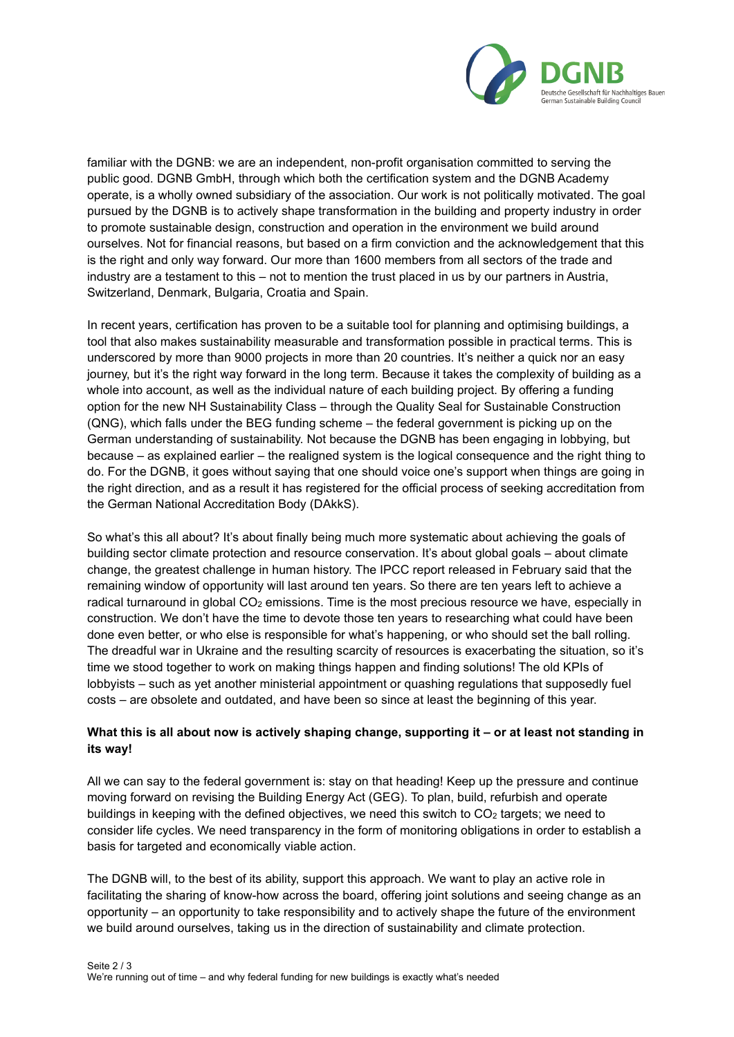

familiar with the DGNB: we are an independent, non-profit organisation committed to serving the public good. DGNB GmbH, through which both the certification system and the DGNB Academy operate, is a wholly owned subsidiary of the association. Our work is not politically motivated. The goal pursued by the DGNB is to actively shape transformation in the building and property industry in order to promote sustainable design, construction and operation in the environment we build around ourselves. Not for financial reasons, but based on a firm conviction and the acknowledgement that this is the right and only way forward. Our more than 1600 members from all sectors of the trade and industry are a testament to this – not to mention the trust placed in us by our partners in Austria, Switzerland, Denmark, Bulgaria, Croatia and Spain.

In recent years, certification has proven to be a suitable tool for planning and optimising buildings, a tool that also makes sustainability measurable and transformation possible in practical terms. This is underscored by more than 9000 projects in more than 20 countries. It's neither a quick nor an easy journey, but it's the right way forward in the long term. Because it takes the complexity of building as a whole into account, as well as the individual nature of each building project. By offering a funding option for the new NH Sustainability Class – through the Quality Seal for Sustainable Construction (QNG), which falls under the BEG funding scheme – the federal government is picking up on the German understanding of sustainability. Not because the DGNB has been engaging in lobbying, but because – as explained earlier – the realigned system is the logical consequence and the right thing to do. For the DGNB, it goes without saying that one should voice one's support when things are going in the right direction, and as a result it has registered for the official process of seeking accreditation from the German National Accreditation Body (DAkkS).

So what's this all about? It's about finally being much more systematic about achieving the goals of building sector climate protection and resource conservation. It's about global goals – about climate change, the greatest challenge in human history. The IPCC report released in February said that the remaining window of opportunity will last around ten years. So there are ten years left to achieve a radical turnaround in global CO<sub>2</sub> emissions. Time is the most precious resource we have, especially in construction. We don't have the time to devote those ten years to researching what could have been done even better, or who else is responsible for what's happening, or who should set the ball rolling. The dreadful war in Ukraine and the resulting scarcity of resources is exacerbating the situation, so it's time we stood together to work on making things happen and finding solutions! The old KPIs of lobbyists – such as yet another ministerial appointment or quashing regulations that supposedly fuel costs – are obsolete and outdated, and have been so since at least the beginning of this year.

## **What this is all about now is actively shaping change, supporting it – or at least not standing in its way!**

All we can say to the federal government is: stay on that heading! Keep up the pressure and continue moving forward on revising the Building Energy Act (GEG). To plan, build, refurbish and operate buildings in keeping with the defined objectives, we need this switch to  $CO<sub>2</sub>$  targets; we need to consider life cycles. We need transparency in the form of monitoring obligations in order to establish a basis for targeted and economically viable action.

The DGNB will, to the best of its ability, support this approach. We want to play an active role in facilitating the sharing of know-how across the board, offering joint solutions and seeing change as an opportunity – an opportunity to take responsibility and to actively shape the future of the environment we build around ourselves, taking us in the direction of sustainability and climate protection.